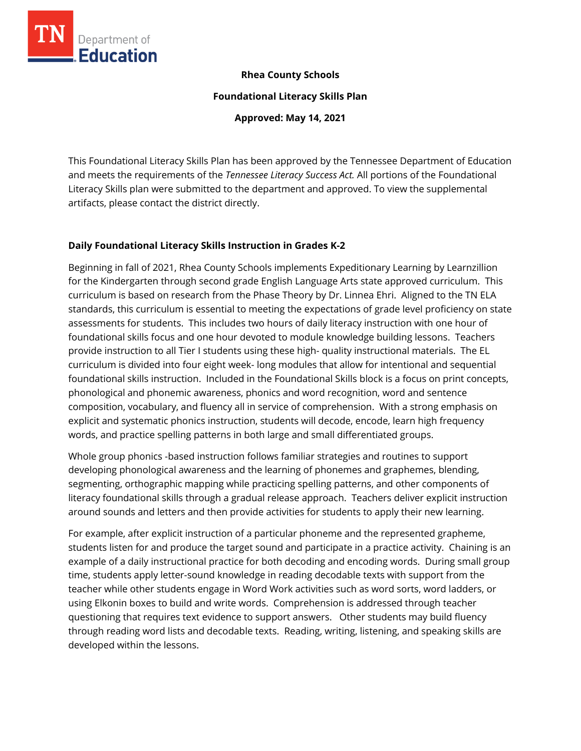

### **Rhea County Schools**

**Foundational Literacy Skills Plan**

**Approved: May 14, 2021**

This Foundational Literacy Skills Plan has been approved by the Tennessee Department of Education and meets the requirements of the *Tennessee Literacy Success Act.* All portions of the Foundational Literacy Skills plan were submitted to the department and approved. To view the supplemental artifacts, please contact the district directly.

### **Daily Foundational Literacy Skills Instruction in Grades K-2**

Beginning in fall of 2021, Rhea County Schools implements Expeditionary Learning by Learnzillion for the Kindergarten through second grade English Language Arts state approved curriculum. This curriculum is based on research from the Phase Theory by Dr. Linnea Ehri. Aligned to the TN ELA standards, this curriculum is essential to meeting the expectations of grade level proficiency on state assessments for students. This includes two hours of daily literacy instruction with one hour of foundational skills focus and one hour devoted to module knowledge building lessons. Teachers provide instruction to all Tier I students using these high- quality instructional materials. The EL curriculum is divided into four eight week- long modules that allow for intentional and sequential foundational skills instruction. Included in the Foundational Skills block is a focus on print concepts, phonological and phonemic awareness, phonics and word recognition, word and sentence composition, vocabulary, and fluency all in service of comprehension. With a strong emphasis on explicit and systematic phonics instruction, students will decode, encode, learn high frequency words, and practice spelling patterns in both large and small differentiated groups.

Whole group phonics -based instruction follows familiar strategies and routines to support developing phonological awareness and the learning of phonemes and graphemes, blending, segmenting, orthographic mapping while practicing spelling patterns, and other components of literacy foundational skills through a gradual release approach. Teachers deliver explicit instruction around sounds and letters and then provide activities for students to apply their new learning.

For example, after explicit instruction of a particular phoneme and the represented grapheme, students listen for and produce the target sound and participate in a practice activity. Chaining is an example of a daily instructional practice for both decoding and encoding words. During small group time, students apply letter-sound knowledge in reading decodable texts with support from the teacher while other students engage in Word Work activities such as word sorts, word ladders, or using Elkonin boxes to build and write words. Comprehension is addressed through teacher questioning that requires text evidence to support answers. Other students may build fluency through reading word lists and decodable texts. Reading, writing, listening, and speaking skills are developed within the lessons.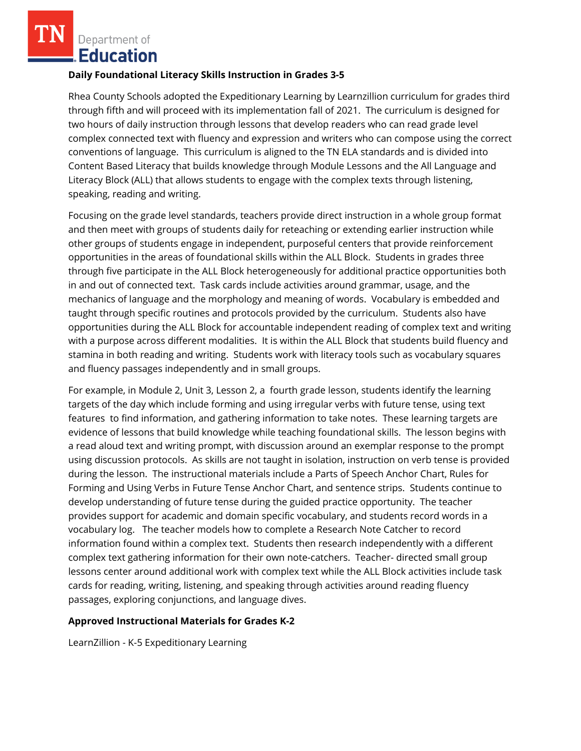Department of **.Education** 

#### **Daily Foundational Literacy Skills Instruction in Grades 3-5**

Rhea County Schools adopted the Expeditionary Learning by Learnzillion curriculum for grades third through fifth and will proceed with its implementation fall of 2021. The curriculum is designed for two hours of daily instruction through lessons that develop readers who can read grade level complex connected text with fluency and expression and writers who can compose using the correct conventions of language. This curriculum is aligned to the TN ELA standards and is divided into Content Based Literacy that builds knowledge through Module Lessons and the All Language and Literacy Block (ALL) that allows students to engage with the complex texts through listening, speaking, reading and writing.

Focusing on the grade level standards, teachers provide direct instruction in a whole group format and then meet with groups of students daily for reteaching or extending earlier instruction while other groups of students engage in independent, purposeful centers that provide reinforcement opportunities in the areas of foundational skills within the ALL Block. Students in grades three through five participate in the ALL Block heterogeneously for additional practice opportunities both in and out of connected text. Task cards include activities around grammar, usage, and the mechanics of language and the morphology and meaning of words. Vocabulary is embedded and taught through specific routines and protocols provided by the curriculum. Students also have opportunities during the ALL Block for accountable independent reading of complex text and writing with a purpose across different modalities. It is within the ALL Block that students build fluency and stamina in both reading and writing. Students work with literacy tools such as vocabulary squares and fluency passages independently and in small groups.

For example, in Module 2, Unit 3, Lesson 2, a fourth grade lesson, students identify the learning targets of the day which include forming and using irregular verbs with future tense, using text features to find information, and gathering information to take notes. These learning targets are evidence of lessons that build knowledge while teaching foundational skills. The lesson begins with a read aloud text and writing prompt, with discussion around an exemplar response to the prompt using discussion protocols. As skills are not taught in isolation, instruction on verb tense is provided during the lesson. The instructional materials include a Parts of Speech Anchor Chart, Rules for Forming and Using Verbs in Future Tense Anchor Chart, and sentence strips. Students continue to develop understanding of future tense during the guided practice opportunity. The teacher provides support for academic and domain specific vocabulary, and students record words in a vocabulary log. The teacher models how to complete a Research Note Catcher to record information found within a complex text. Students then research independently with a different complex text gathering information for their own note-catchers. Teacher- directed small group lessons center around additional work with complex text while the ALL Block activities include task cards for reading, writing, listening, and speaking through activities around reading fluency passages, exploring conjunctions, and language dives.

### **Approved Instructional Materials for Grades K-2**

LearnZillion - K-5 Expeditionary Learning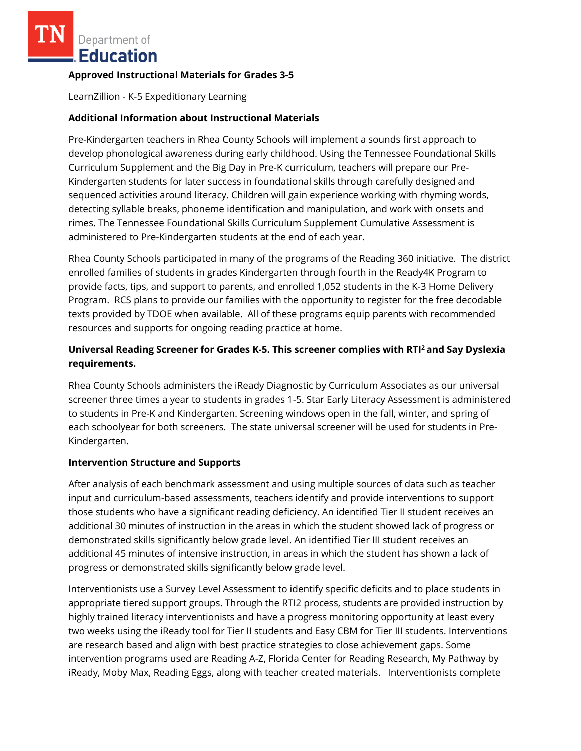Department of Education

## **Approved Instructional Materials for Grades 3-5**

LearnZillion - K-5 Expeditionary Learning

## **Additional Information about Instructional Materials**

Pre-Kindergarten teachers in Rhea County Schools will implement a sounds first approach to develop phonological awareness during early childhood. Using the Tennessee Foundational Skills Curriculum Supplement and the Big Day in Pre-K curriculum, teachers will prepare our Pre-Kindergarten students for later success in foundational skills through carefully designed and sequenced activities around literacy. Children will gain experience working with rhyming words, detecting syllable breaks, phoneme identification and manipulation, and work with onsets and rimes. The Tennessee Foundational Skills Curriculum Supplement Cumulative Assessment is administered to Pre-Kindergarten students at the end of each year.

Rhea County Schools participated in many of the programs of the Reading 360 initiative. The district enrolled families of students in grades Kindergarten through fourth in the Ready4K Program to provide facts, tips, and support to parents, and enrolled 1,052 students in the K-3 Home Delivery Program. RCS plans to provide our families with the opportunity to register for the free decodable texts provided by TDOE when available. All of these programs equip parents with recommended resources and supports for ongoing reading practice at home.

# **Universal Reading Screener for Grades K-5. This screener complies with RTI<sup>2</sup>and Say Dyslexia requirements.**

Rhea County Schools administers the iReady Diagnostic by Curriculum Associates as our universal screener three times a year to students in grades 1-5. Star Early Literacy Assessment is administered to students in Pre-K and Kindergarten. Screening windows open in the fall, winter, and spring of each schoolyear for both screeners. The state universal screener will be used for students in Pre-Kindergarten.

### **Intervention Structure and Supports**

After analysis of each benchmark assessment and using multiple sources of data such as teacher input and curriculum-based assessments, teachers identify and provide interventions to support those students who have a significant reading deficiency. An identified Tier II student receives an additional 30 minutes of instruction in the areas in which the student showed lack of progress or demonstrated skills significantly below grade level. An identified Tier III student receives an additional 45 minutes of intensive instruction, in areas in which the student has shown a lack of progress or demonstrated skills significantly below grade level.

Interventionists use a Survey Level Assessment to identify specific deficits and to place students in appropriate tiered support groups. Through the RTI2 process, students are provided instruction by highly trained literacy interventionists and have a progress monitoring opportunity at least every two weeks using the iReady tool for Tier II students and Easy CBM for Tier III students. Interventions are research based and align with best practice strategies to close achievement gaps. Some intervention programs used are Reading A-Z, Florida Center for Reading Research, My Pathway by iReady, Moby Max, Reading Eggs, along with teacher created materials. Interventionists complete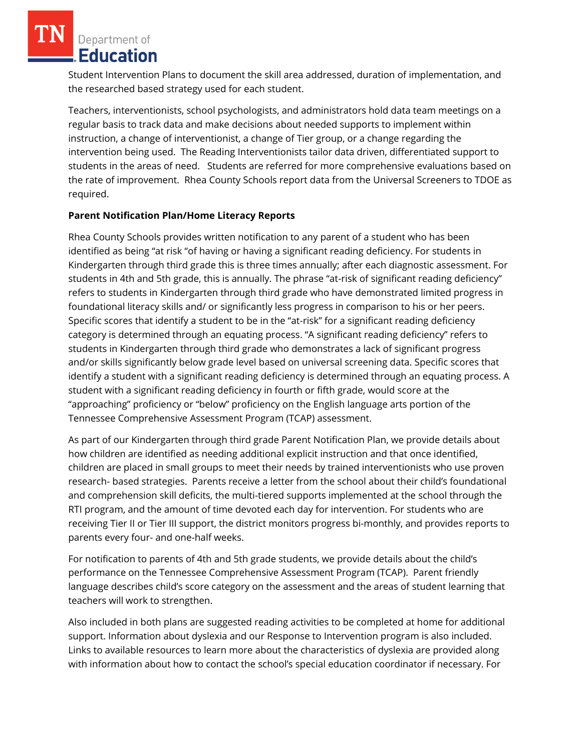Department of Education

Student Intervention Plans to document the skill area addressed, duration of implementation, and the researched based strategy used for each student.

Teachers, interventionists, school psychologists, and administrators hold data team meetings on a regular basis to track data and make decisions about needed supports to implement within instruction, a change of interventionist, a change of Tier group, or a change regarding the intervention being used. The Reading Interventionists tailor data driven, differentiated support to students in the areas of need. Students are referred for more comprehensive evaluations based on the rate of improvement. Rhea County Schools report data from the Universal Screeners to TDOE as required.

## **Parent Notification Plan/Home Literacy Reports**

Rhea County Schools provides written notification to any parent of a student who has been identified as being "at risk "of having or having a significant reading deficiency. For students in Kindergarten through third grade this is three times annually; after each diagnostic assessment. For students in 4th and 5th grade, this is annually. The phrase "at-risk of significant reading deficiency" refers to students in Kindergarten through third grade who have demonstrated limited progress in foundational literacy skills and/ or significantly less progress in comparison to his or her peers. Specific scores that identify a student to be in the "at-risk" for a significant reading deficiency category is determined through an equating process. "A significant reading deficiency" refers to students in Kindergarten through third grade who demonstrates a lack of significant progress and/or skills significantly below grade level based on universal screening data. Specific scores that identify a student with a significant reading deficiency is determined through an equating process. A student with a significant reading deficiency in fourth or fifth grade, would score at the "approaching" proficiency or "below" proficiency on the English language arts portion of the Tennessee Comprehensive Assessment Program (TCAP) assessment.

As part of our Kindergarten through third grade Parent Notification Plan, we provide details about how children are identified as needing additional explicit instruction and that once identified, children are placed in small groups to meet their needs by trained interventionists who use proven research- based strategies. Parents receive a letter from the school about their child's foundational and comprehension skill deficits, the multi-tiered supports implemented at the school through the RTI program, and the amount of time devoted each day for intervention. For students who are receiving Tier II or Tier III support, the district monitors progress bi-monthly, and provides reports to parents every four- and one-half weeks.

For notification to parents of 4th and 5th grade students, we provide details about the child's performance on the Tennessee Comprehensive Assessment Program (TCAP). Parent friendly language describes child's score category on the assessment and the areas of student learning that teachers will work to strengthen.

Also included in both plans are suggested reading activities to be completed at home for additional support. Information about dyslexia and our Response to Intervention program is also included. Links to available resources to learn more about the characteristics of dyslexia are provided along with information about how to contact the school's special education coordinator if necessary. For